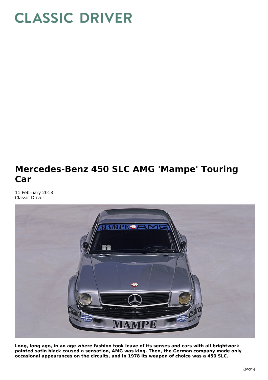## **CLASSIC DRIVER**

## **Mercedes-Benz 450 SLC AMG 'Mampe' Touring Car**

11 February 2013 Classic Driver



**Long, long ago, in an age where fashion took leave of its senses and cars with all brightwork painted satin black caused a sensation, AMG was king. Then, the German company made only occasional appearances on the circuits, and in 1978 its weapon of choice was a 450 SLC.**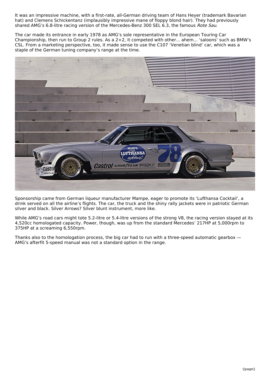It was an impressive machine, with a first-rate, all-German driving team of Hans Heyer (trademark Bavarian hat) and Clemens Schickentanz (implausibly impressive mane of floppy blond hair). They had previously shared AMG's 6.8-litre racing version of the Mercedes-Benz 300 SEL 6.3, the famous Rote Sau.

The car made its entrance in early 1978 as AMG's sole representative in the European Touring Car Championship, then run to Group 2 rules. As a 2+2, it competed with other... ahem... 'saloons' such as BMW's CSL. From a marketing perspective, too, it made sense to use the C107 'Venetian blind' car, which was a staple of the German tuning company's range at the time.



Sponsorship came from German liqueur manufacturer Mampe, eager to promote its 'Lufthansa Cocktail', a drink served on all the airline's flights. The car, the truck and the shiny rally jackets were in patriotic German silver and black. Silver Arrows? Silver blunt instrument, more like.

While AMG's road cars might tote 5.2-litre or 5.4-litre versions of the strong V8, the racing version stayed at its 4,520cc homologated capacity. Power, though, was up from the standard Mercedes' 217HP at 5,000rpm to 375HP at a screaming 6,550rpm.

Thanks also to the homologation process, the big car had to run with a three-speed automatic gearbox — AMG's afterfit 5-speed manual was not a standard option in the range.